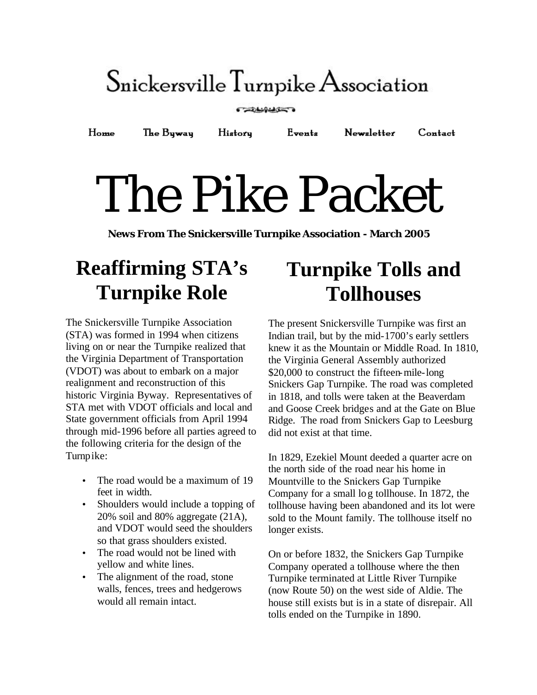## $S_{\text{nickersville}}$  Turnpike Association

#### **CELLINGS**

Events Newsletter  $H<sub>ome</sub>$ The Byway History  $$ 

# The Pike Packet

**News From The Snickersville Turnpike Association - March 2005**

## **Reaffirming STA's Turnpike Role**

The Snickersville Turnpike Association (STA) was formed in 1994 when citizens living on or near the Turnpike realized that the Virginia Department of Transportation (VDOT) was about to embark on a major realignment and reconstruction of this historic Virginia Byway. Representatives of STA met with VDOT officials and local and State government officials from April 1994 through mid-1996 before all parties agreed to the following criteria for the design of the Turnpike:

- The road would be a maximum of 19 feet in width.
- Shoulders would include a topping of 20% soil and 80% aggregate (21A), and VDOT would seed the shoulders so that grass shoulders existed.
- The road would not be lined with yellow and white lines.
- The alignment of the road, stone walls, fences, trees and hedgerows would all remain intact.

## **Turnpike Tolls and Tollhouses**

The present Snickersville Turnpike was first an Indian trail, but by the mid-1700's early settlers knew it as the Mountain or Middle Road. In 1810, the Virginia General Assembly authorized \$20,000 to construct the fifteen-mile-long Snickers Gap Turnpike. The road was completed in 1818, and tolls were taken at the Beaverdam and Goose Creek bridges and at the Gate on Blue Ridge. The road from Snickers Gap to Leesburg did not exist at that time.

In 1829, Ezekiel Mount deeded a quarter acre on the north side of the road near his home in Mountville to the Snickers Gap Turnpike Company for a small log tollhouse. In 1872, the tollhouse having been abandoned and its lot were sold to the Mount family. The tollhouse itself no longer exists.

On or before 1832, the Snickers Gap Turnpike Company operated a tollhouse where the then Turnpike terminated at Little River Turnpike (now Route 50) on the west side of Aldie. The house still exists but is in a state of disrepair. All tolls ended on the Turnpike in 1890.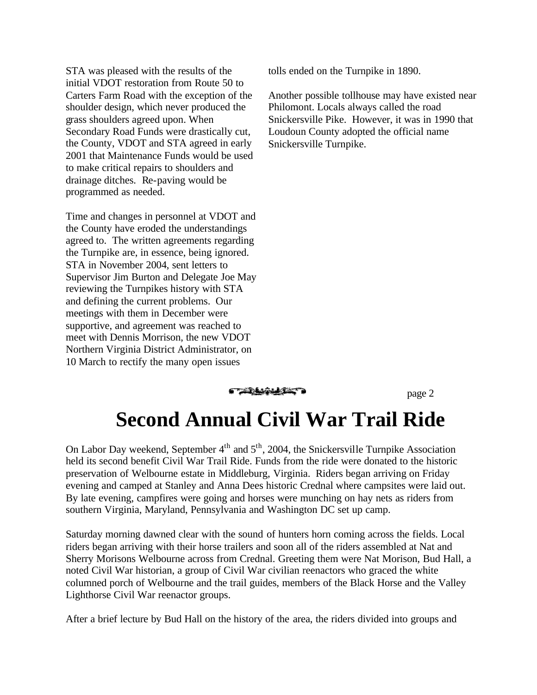STA was pleased with the results of the initial VDOT restoration from Route 50 to Carters Farm Road with the exception of the shoulder design, which never produced the grass shoulders agreed upon. When Secondary Road Funds were drastically cut, the County, VDOT and STA agreed in early 2001 that Maintenance Funds would be used to make critical repairs to shoulders and drainage ditches. Re-paving would be programmed as needed.

Time and changes in personnel at VDOT and the County have eroded the understandings agreed to. The written agreements regarding the Turnpike are, in essence, being ignored. STA in November 2004, sent letters to Supervisor Jim Burton and Delegate Joe May reviewing the Turnpikes history with STA and defining the current problems. Our meetings with them in December were supportive, and agreement was reached to meet with Dennis Morrison, the new VDOT Northern Virginia District Administrator, on 10 March to rectify the many open issues

tolls ended on the Turnpike in 1890.

Another possible tollhouse may have existed near Philomont. Locals always called the road Snickersville Pike. However, it was in 1990 that Loudoun County adopted the official name Snickersville Turnpike.

**CARANTELLE** 

page 2

### **Second Annual Civil War Trail Ride**

On Labor Day weekend, September  $4<sup>th</sup>$  and  $5<sup>th</sup>$ , 2004, the Snickersville Turnpike Association held its second benefit Civil War Trail Ride. Funds from the ride were donated to the historic preservation of Welbourne estate in Middleburg, Virginia. Riders began arriving on Friday evening and camped at Stanley and Anna Dees historic Crednal where campsites were laid out. By late evening, campfires were going and horses were munching on hay nets as riders from southern Virginia, Maryland, Pennsylvania and Washington DC set up camp.

Saturday morning dawned clear with the sound of hunters horn coming across the fields. Local riders began arriving with their horse trailers and soon all of the riders assembled at Nat and Sherry Morisons Welbourne across from Crednal. Greeting them were Nat Morison, Bud Hall, a noted Civil War historian, a group of Civil War civilian reenactors who graced the white columned porch of Welbourne and the trail guides, members of the Black Horse and the Valley Lighthorse Civil War reenactor groups.

After a brief lecture by Bud Hall on the history of the area, the riders divided into groups and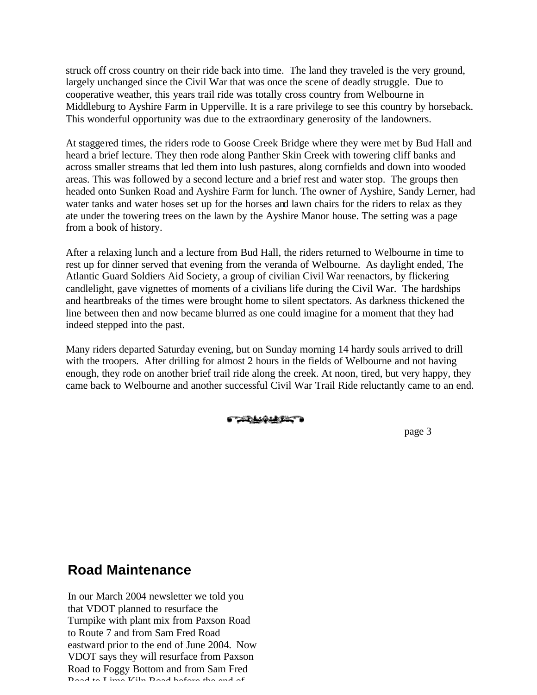struck off cross country on their ride back into time. The land they traveled is the very ground, largely unchanged since the Civil War that was once the scene of deadly struggle. Due to cooperative weather, this years trail ride was totally cross country from Welbourne in Middleburg to Ayshire Farm in Upperville. It is a rare privilege to see this country by horseback. This wonderful opportunity was due to the extraordinary generosity of the landowners.

At staggered times, the riders rode to Goose Creek Bridge where they were met by Bud Hall and heard a brief lecture. They then rode along Panther Skin Creek with towering cliff banks and across smaller streams that led them into lush pastures, along cornfields and down into wooded areas. This was followed by a second lecture and a brief rest and water stop. The groups then headed onto Sunken Road and Ayshire Farm for lunch. The owner of Ayshire, Sandy Lerner, had water tanks and water hoses set up for the horses and lawn chairs for the riders to relax as they ate under the towering trees on the lawn by the Ayshire Manor house. The setting was a page from a book of history.

After a relaxing lunch and a lecture from Bud Hall, the riders returned to Welbourne in time to rest up for dinner served that evening from the veranda of Welbourne. As daylight ended, The Atlantic Guard Soldiers Aid Society, a group of civilian Civil War reenactors, by flickering candlelight, gave vignettes of moments of a civilians life during the Civil War. The hardships and heartbreaks of the times were brought home to silent spectators. As darkness thickened the line between then and now became blurred as one could imagine for a moment that they had indeed stepped into the past.

Many riders departed Saturday evening, but on Sunday morning 14 hardy souls arrived to drill with the troopers. After drilling for almost 2 hours in the fields of Welbourne and not having enough, they rode on another brief trail ride along the creek. At noon, tired, but very happy, they came back to Welbourne and another successful Civil War Trail Ride reluctantly came to an end.

**GERAGEASES** 

page 3

#### **Road Maintenance**

In our March 2004 newsletter we told you that VDOT planned to resurface the Turnpike with plant mix from Paxson Road to Route 7 and from Sam Fred Road eastward prior to the end of June 2004. Now VDOT says they will resurface from Paxson Road to Foggy Bottom and from Sam Fred Road to Lime Kiln Road before the end of